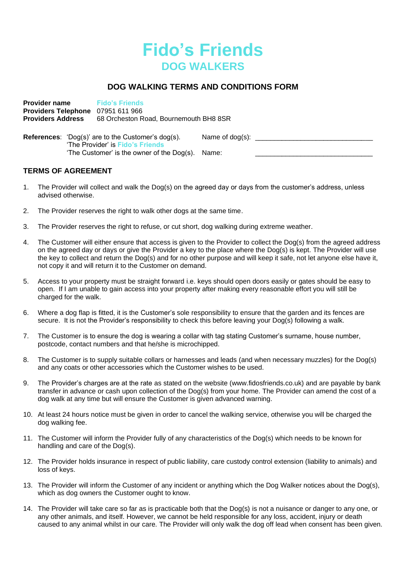

# **DOG WALKING TERMS AND CONDITIONS FORM**

**Provider name Fido's Friends Providers Telephone** 07951 611 966 **Providers Address** 68 Orcheston Road, Bournemouth BH8 8SR

**References:** 'Dog(s)' are to the Customer's dog(s). Name of dog(s): 'The Provider' is **Fido's Friends** 'The Customer' is the owner of the  $Dog(s)$ . Name:

## **TERMS OF AGREEMENT**

- 1. The Provider will collect and walk the Dog(s) on the agreed day or days from the customer's address, unless advised otherwise.
- 2. The Provider reserves the right to walk other dogs at the same time.
- 3. The Provider reserves the right to refuse, or cut short, dog walking during extreme weather.
- 4. The Customer will either ensure that access is given to the Provider to collect the Dog(s) from the agreed address on the agreed day or days or give the Provider a key to the place where the Dog(s) is kept. The Provider will use the key to collect and return the Dog(s) and for no other purpose and will keep it safe, not let anyone else have it, not copy it and will return it to the Customer on demand.
- 5. Access to your property must be straight forward i.e. keys should open doors easily or gates should be easy to open. If I am unable to gain access into your property after making every reasonable effort you will still be charged for the walk.
- 6. Where a dog flap is fitted, it is the Customer's sole responsibility to ensure that the garden and its fences are secure. It is not the Provider's responsibility to check this before leaving your Dog(s) following a walk.
- 7. The Customer is to ensure the dog is wearing a collar with tag stating Customer's surname, house number, postcode, contact numbers and that he/she is microchipped.
- 8. The Customer is to supply suitable collars or harnesses and leads (and when necessary muzzles) for the Dog(s) and any coats or other accessories which the Customer wishes to be used.
- 9. The Provider's charges are at the rate as stated on the website (www.fidosfriends.co.uk) and are payable by bank transfer in advance or cash upon collection of the Dog(s) from your home. The Provider can amend the cost of a dog walk at any time but will ensure the Customer is given advanced warning.
- 10. At least 24 hours notice must be given in order to cancel the walking service, otherwise you will be charged the dog walking fee.
- 11. The Customer will inform the Provider fully of any characteristics of the Dog(s) which needs to be known for handling and care of the Dog(s).
- 12. The Provider holds insurance in respect of public liability, care custody control extension (liability to animals) and loss of keys.
- 13. The Provider will inform the Customer of any incident or anything which the Dog Walker notices about the Dog(s), which as dog owners the Customer ought to know.
- 14. The Provider will take care so far as is practicable both that the Dog(s) is not a nuisance or danger to any one, or any other animals, and itself. However, we cannot be held responsible for any loss, accident, injury or death caused to any animal whilst in our care. The Provider will only walk the dog off lead when consent has been given.